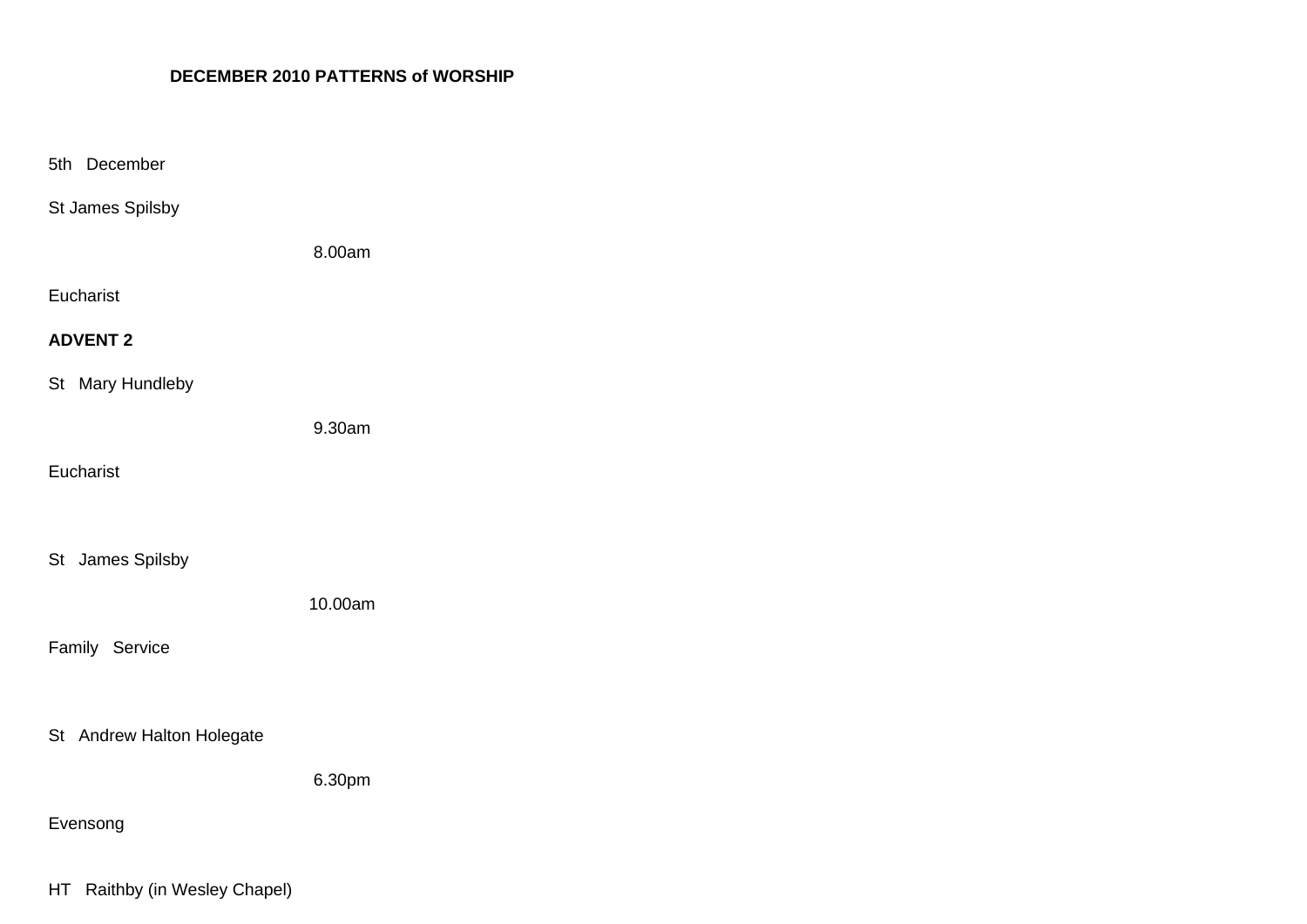## **DECEMBER 2010 PATTERNS of WORSHIP**

| 5th December              |         |
|---------------------------|---------|
| St James Spilsby          |         |
|                           | 8.00am  |
| Eucharist                 |         |
| <b>ADVENT 2</b>           |         |
| St Mary Hundleby          |         |
|                           | 9.30am  |
| Eucharist                 |         |
|                           |         |
| St James Spilsby          |         |
|                           | 10.00am |
| Family Service            |         |
|                           |         |
| St Andrew Halton Holegate |         |
|                           | 6.30pm  |
| Evensong                  |         |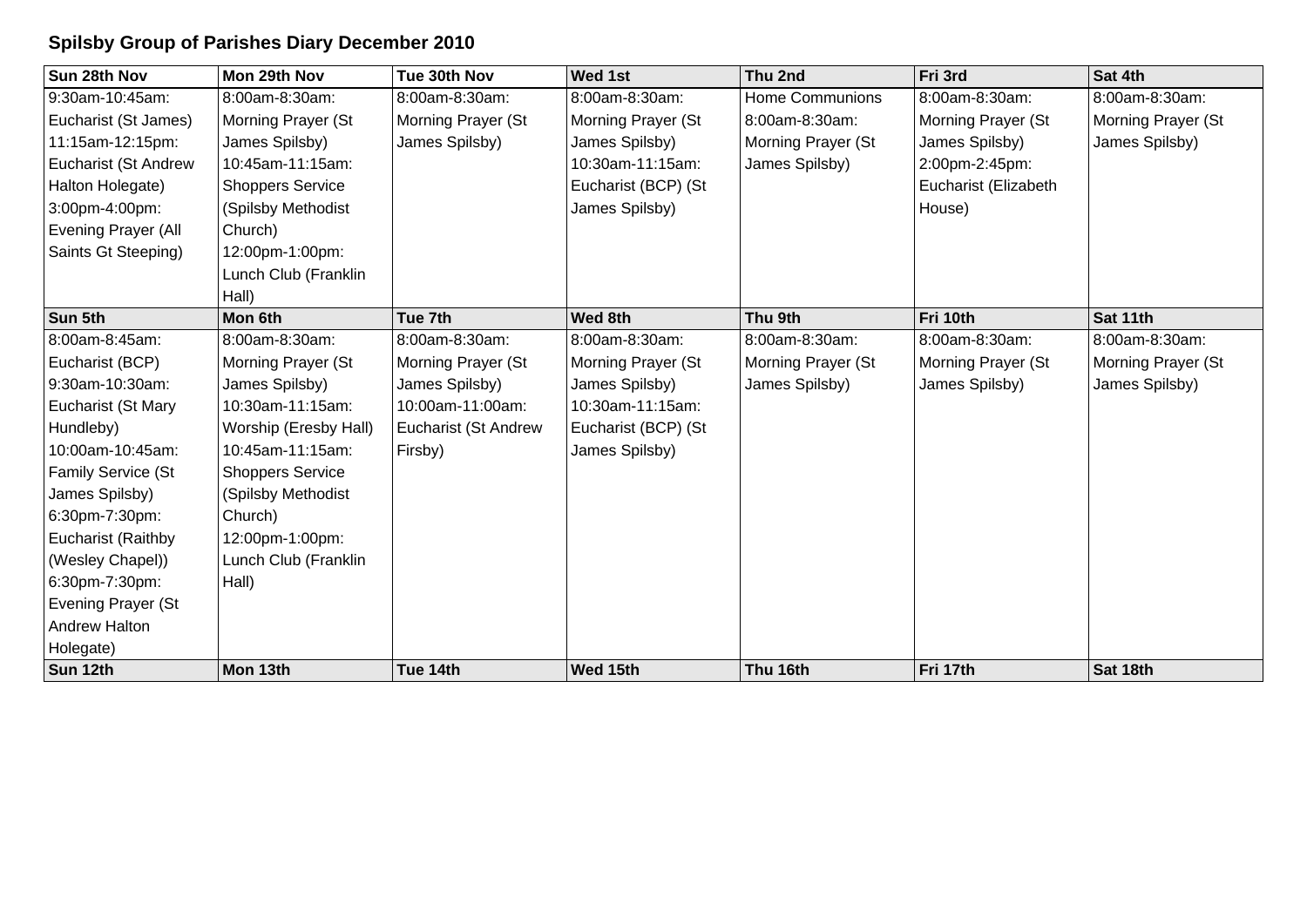## **Spilsby Group of Parishes Diary December 2010**

| Sun 28th Nov         | Mon 29th Nov            | Tue 30th Nov                | Wed 1st             | Thu 2nd                | Fri 3rd              | Sat 4th            |
|----------------------|-------------------------|-----------------------------|---------------------|------------------------|----------------------|--------------------|
| 9:30am-10:45am:      | 8:00am-8:30am:          | 8:00am-8:30am:              | 8:00am-8:30am:      | <b>Home Communions</b> | 8:00am-8:30am:       | 8:00am-8:30am:     |
| Eucharist (St James) | Morning Prayer (St      | Morning Prayer (St          | Morning Prayer (St  | 8:00am-8:30am:         | Morning Prayer (St   | Morning Prayer (St |
| 11:15am-12:15pm:     | James Spilsby)          | James Spilsby)              | James Spilsby)      | Morning Prayer (St     | James Spilsby)       | James Spilsby)     |
| Eucharist (St Andrew | 10:45am-11:15am:        |                             | 10:30am-11:15am:    | James Spilsby)         | 2:00pm-2:45pm:       |                    |
| Halton Holegate)     | <b>Shoppers Service</b> |                             | Eucharist (BCP) (St |                        | Eucharist (Elizabeth |                    |
| 3:00pm-4:00pm:       | (Spilsby Methodist      |                             | James Spilsby)      |                        | House)               |                    |
| Evening Prayer (All  | Church)                 |                             |                     |                        |                      |                    |
| Saints Gt Steeping)  | 12:00pm-1:00pm:         |                             |                     |                        |                      |                    |
|                      | Lunch Club (Franklin    |                             |                     |                        |                      |                    |
|                      | Hall)                   |                             |                     |                        |                      |                    |
| Sun 5th              | Mon 6th                 | Tue 7th                     | Wed 8th             | Thu 9th                | Fri 10th             | Sat 11th           |
| 8:00am-8:45am:       | 8:00am-8:30am:          | 8:00am-8:30am:              | 8:00am-8:30am:      | 8:00am-8:30am:         | 8:00am-8:30am:       | 8:00am-8:30am:     |
| Eucharist (BCP)      | Morning Prayer (St      | Morning Prayer (St          | Morning Prayer (St  | Morning Prayer (St     | Morning Prayer (St   | Morning Prayer (St |
| 9:30am-10:30am:      | James Spilsby)          | James Spilsby)              | James Spilsby)      | James Spilsby)         | James Spilsby)       | James Spilsby)     |
| Eucharist (St Mary   | 10:30am-11:15am:        | 10:00am-11:00am:            | 10:30am-11:15am:    |                        |                      |                    |
| Hundleby)            | Worship (Eresby Hall)   | <b>Eucharist (St Andrew</b> | Eucharist (BCP) (St |                        |                      |                    |
| 10:00am-10:45am:     | 10:45am-11:15am:        | Firsby)                     | James Spilsby)      |                        |                      |                    |
| Family Service (St   | <b>Shoppers Service</b> |                             |                     |                        |                      |                    |
| James Spilsby)       | (Spilsby Methodist      |                             |                     |                        |                      |                    |
| 6:30pm-7:30pm:       | Church)                 |                             |                     |                        |                      |                    |
| Eucharist (Raithby   | 12:00pm-1:00pm:         |                             |                     |                        |                      |                    |
| (Wesley Chapel))     | Lunch Club (Franklin    |                             |                     |                        |                      |                    |
| 6:30pm-7:30pm:       | Hall)                   |                             |                     |                        |                      |                    |
| Evening Prayer (St   |                         |                             |                     |                        |                      |                    |
| <b>Andrew Halton</b> |                         |                             |                     |                        |                      |                    |
| Holegate)            |                         |                             |                     |                        |                      |                    |
| Sun 12th             | Mon 13th                | Tue 14th                    | Wed 15th            | Thu 16th               | Fri 17th             | Sat 18th           |